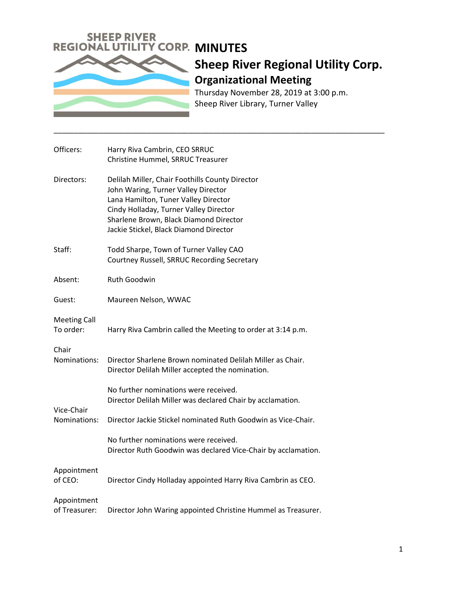

## **Sheep River Regional Utility Corp. Organizational Meeting**

Thursday November 28, 2019 at 3:00 p.m. Sheep River Library, Turner Valley

\_\_\_\_\_\_\_\_\_\_\_\_\_\_\_\_\_\_\_\_\_\_\_\_\_\_\_\_\_\_\_\_\_\_\_\_\_\_\_\_\_\_\_\_\_\_\_\_\_\_\_\_\_\_\_\_\_\_\_\_\_\_\_\_\_\_\_\_\_\_\_\_\_\_\_\_\_\_\_\_\_

| Officers:                        | Harry Riva Cambrin, CEO SRRUC                                                                                                                                                                                                                                |
|----------------------------------|--------------------------------------------------------------------------------------------------------------------------------------------------------------------------------------------------------------------------------------------------------------|
|                                  | Christine Hummel, SRRUC Treasurer                                                                                                                                                                                                                            |
| Directors:                       | Delilah Miller, Chair Foothills County Director<br>John Waring, Turner Valley Director<br>Lana Hamilton, Tuner Valley Director<br>Cindy Holladay, Turner Valley Director<br>Sharlene Brown, Black Diamond Director<br>Jackie Stickel, Black Diamond Director |
| Staff:                           | Todd Sharpe, Town of Turner Valley CAO<br>Courtney Russell, SRRUC Recording Secretary                                                                                                                                                                        |
| Absent:                          | Ruth Goodwin                                                                                                                                                                                                                                                 |
| Guest:                           | Maureen Nelson, WWAC                                                                                                                                                                                                                                         |
| <b>Meeting Call</b><br>To order: | Harry Riva Cambrin called the Meeting to order at 3:14 p.m.                                                                                                                                                                                                  |
| Chair<br>Nominations:            | Director Sharlene Brown nominated Delilah Miller as Chair.<br>Director Delilah Miller accepted the nomination.                                                                                                                                               |
| Vice-Chair<br>Nominations:       | No further nominations were received.<br>Director Delilah Miller was declared Chair by acclamation.                                                                                                                                                          |
|                                  | Director Jackie Stickel nominated Ruth Goodwin as Vice-Chair.                                                                                                                                                                                                |
|                                  | No further nominations were received.<br>Director Ruth Goodwin was declared Vice-Chair by acclamation.                                                                                                                                                       |
| Appointment<br>of CEO:           | Director Cindy Holladay appointed Harry Riva Cambrin as CEO.                                                                                                                                                                                                 |
| Appointment<br>of Treasurer:     | Director John Waring appointed Christine Hummel as Treasurer.                                                                                                                                                                                                |